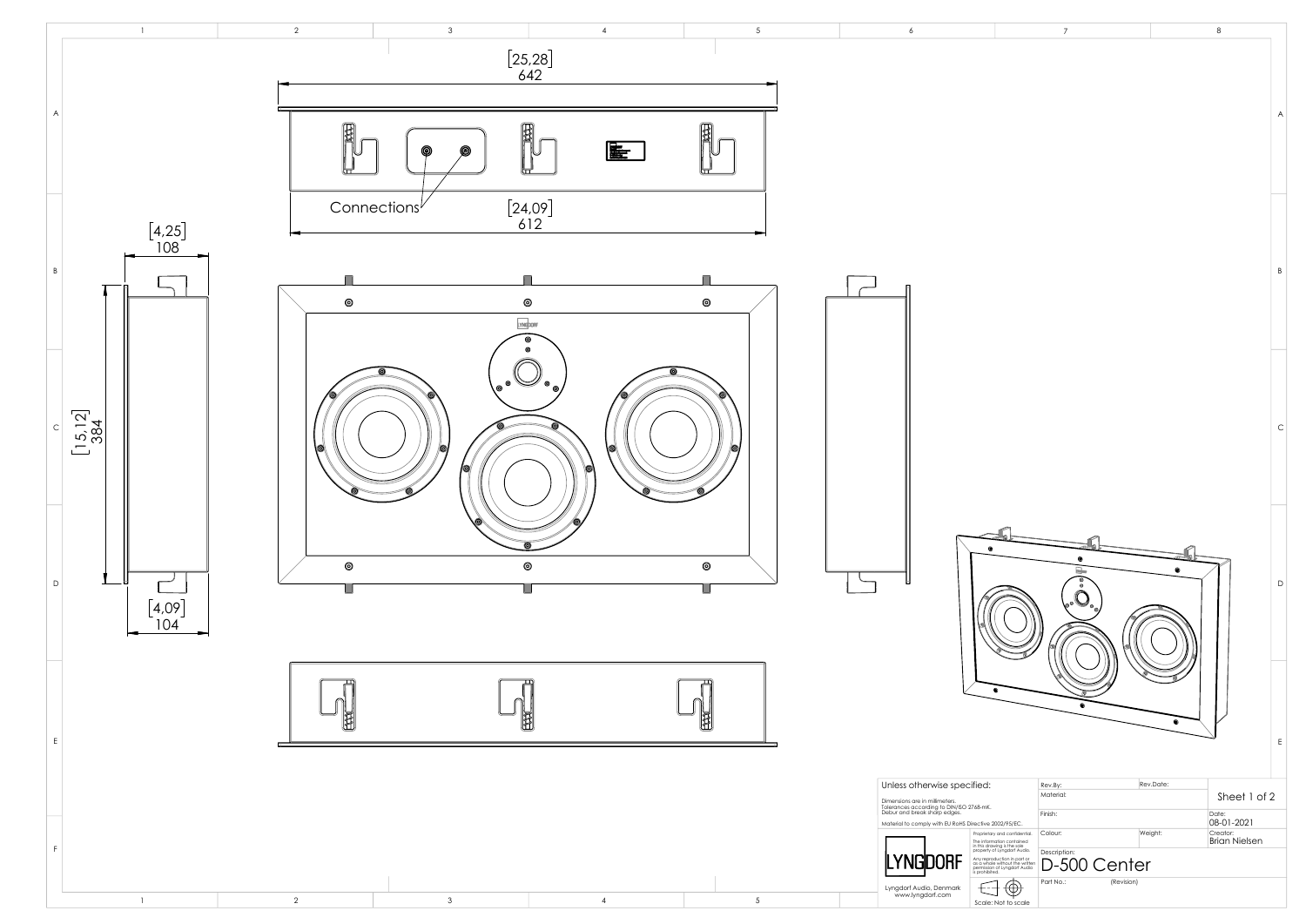